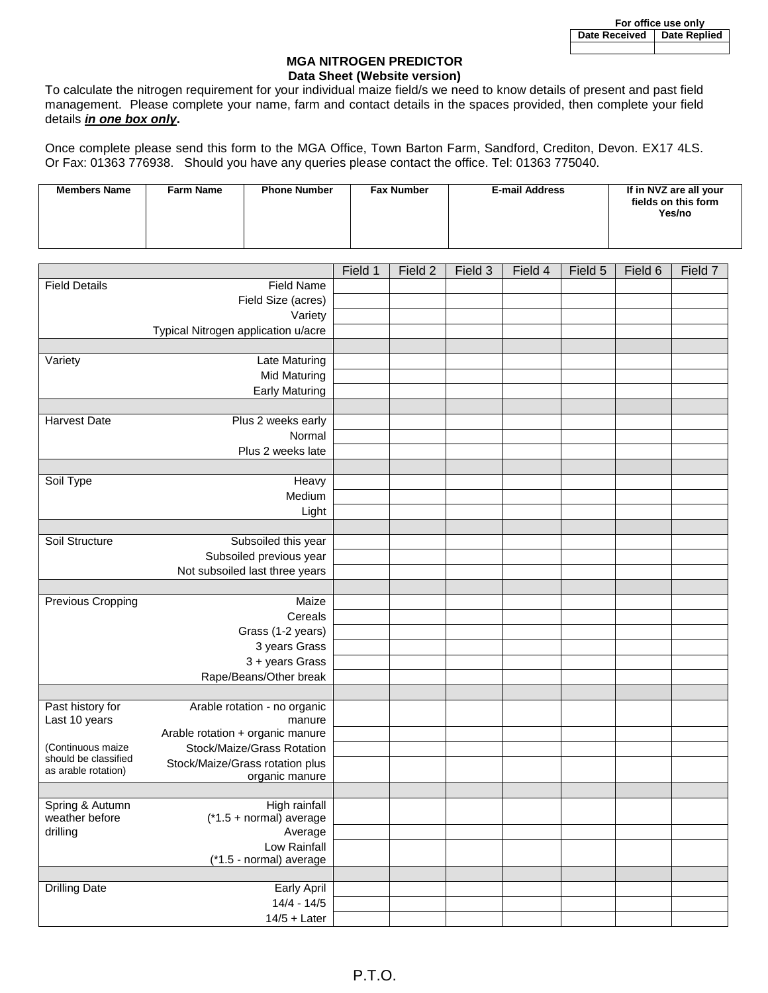## **MGA NITROGEN PREDICTOR Data Sheet (Website version)**

To calculate the nitrogen requirement for your individual maize field/s we need to know details of present and past field management. Please complete your name, farm and contact details in the spaces provided, then complete your field details *in one box only***.**

Once complete please send this form to the MGA Office, Town Barton Farm, Sandford, Crediton, Devon. EX17 4LS. Or Fax: 01363 776938. Should you have any queries please contact the office. Tel: 01363 775040.

| <b>Members Name</b><br><b>Farm Name</b> | <b>Phone Number</b> | <b>Fax Number</b> | <b>E-mail Address</b> | If in NVZ are all your<br>fields on this form<br>Yes/no |
|-----------------------------------------|---------------------|-------------------|-----------------------|---------------------------------------------------------|
|-----------------------------------------|---------------------|-------------------|-----------------------|---------------------------------------------------------|

|                                             |                                     | Field 1 | Field 2 | Field 3 | Field 4 | Field 5 | Field 6 | Field 7 |
|---------------------------------------------|-------------------------------------|---------|---------|---------|---------|---------|---------|---------|
| <b>Field Details</b>                        | <b>Field Name</b>                   |         |         |         |         |         |         |         |
|                                             | Field Size (acres)                  |         |         |         |         |         |         |         |
|                                             | Variety                             |         |         |         |         |         |         |         |
|                                             | Typical Nitrogen application u/acre |         |         |         |         |         |         |         |
|                                             |                                     |         |         |         |         |         |         |         |
| Variety                                     | Late Maturing                       |         |         |         |         |         |         |         |
|                                             | <b>Mid Maturing</b>                 |         |         |         |         |         |         |         |
|                                             | <b>Early Maturing</b>               |         |         |         |         |         |         |         |
|                                             |                                     |         |         |         |         |         |         |         |
| <b>Harvest Date</b>                         | Plus 2 weeks early                  |         |         |         |         |         |         |         |
|                                             | Normal                              |         |         |         |         |         |         |         |
|                                             | Plus 2 weeks late                   |         |         |         |         |         |         |         |
|                                             |                                     |         |         |         |         |         |         |         |
|                                             |                                     |         |         |         |         |         |         |         |
| Soil Type                                   | Heavy                               |         |         |         |         |         |         |         |
|                                             | Medium                              |         |         |         |         |         |         |         |
|                                             | Light                               |         |         |         |         |         |         |         |
|                                             |                                     |         |         |         |         |         |         |         |
| Soil Structure                              | Subsoiled this year                 |         |         |         |         |         |         |         |
|                                             | Subsoiled previous year             |         |         |         |         |         |         |         |
|                                             | Not subsoiled last three years      |         |         |         |         |         |         |         |
|                                             |                                     |         |         |         |         |         |         |         |
| Previous Cropping<br>Maize                  |                                     |         |         |         |         |         |         |         |
|                                             | Cereals                             |         |         |         |         |         |         |         |
|                                             | Grass (1-2 years)                   |         |         |         |         |         |         |         |
|                                             | 3 years Grass                       |         |         |         |         |         |         |         |
|                                             | 3 + years Grass                     |         |         |         |         |         |         |         |
|                                             | Rape/Beans/Other break              |         |         |         |         |         |         |         |
|                                             |                                     |         |         |         |         |         |         |         |
| Past history for                            | Arable rotation - no organic        |         |         |         |         |         |         |         |
| Last 10 years                               | manure                              |         |         |         |         |         |         |         |
|                                             | Arable rotation + organic manure    |         |         |         |         |         |         |         |
| (Continuous maize                           | Stock/Maize/Grass Rotation          |         |         |         |         |         |         |         |
| should be classified<br>as arable rotation) | Stock/Maize/Grass rotation plus     |         |         |         |         |         |         |         |
|                                             | organic manure                      |         |         |         |         |         |         |         |
|                                             |                                     |         |         |         |         |         |         |         |
| Spring & Autumn                             | High rainfall                       |         |         |         |         |         |         |         |
| weather before                              | $(*1.5 + normal)$ average           |         |         |         |         |         |         |         |
| drilling                                    | Average                             |         |         |         |         |         |         |         |
|                                             | Low Rainfall                        |         |         |         |         |         |         |         |
|                                             | (*1.5 - normal) average             |         |         |         |         |         |         |         |
| <b>Drilling Date</b>                        |                                     |         |         |         |         |         |         |         |
|                                             | Early April<br>$14/4 - 14/5$        |         |         |         |         |         |         |         |
|                                             |                                     |         |         |         |         |         |         |         |
|                                             | $14/5 +$ Later                      |         |         |         |         |         |         |         |